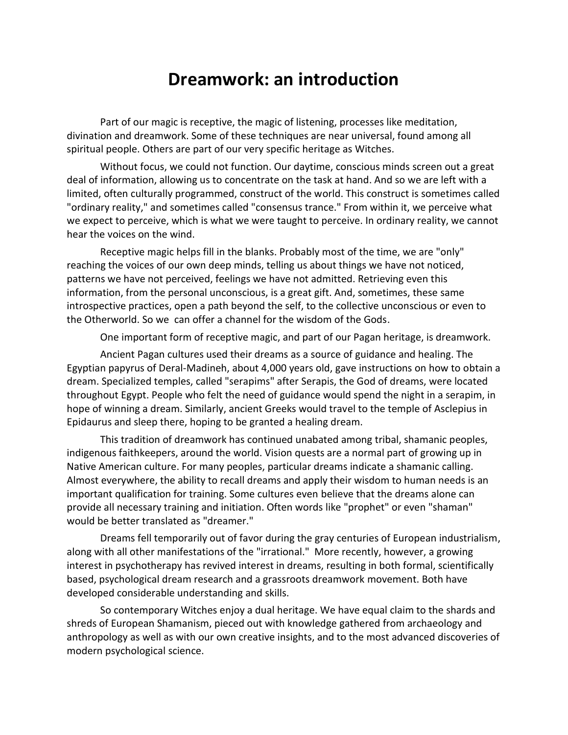# **Dreamwork: an introduction**

Part of our magic is receptive, the magic of listening, processes like meditation, divination and dreamwork. Some of these techniques are near universal, found among all spiritual people. Others are part of our very specific heritage as Witches.

Without focus, we could not function. Our daytime, conscious minds screen out a great deal of information, allowing us to concentrate on the task at hand. And so we are left with a limited, often culturally programmed, construct of the world. This construct is sometimes called "ordinary reality," and sometimes called "consensus trance." From within it, we perceive what we expect to perceive, which is what we were taught to perceive. In ordinary reality, we cannot hear the voices on the wind.

Receptive magic helps fill in the blanks. Probably most of the time, we are "only" reaching the voices of our own deep minds, telling us about things we have not noticed, patterns we have not perceived, feelings we have not admitted. Retrieving even this information, from the personal unconscious, is a great gift. And, sometimes, these same introspective practices, open a path beyond the self, to the collective unconscious or even to the Otherworld. So we can offer a channel for the wisdom of the Gods.

One important form of receptive magic, and part of our Pagan heritage, is dreamwork.

Ancient Pagan cultures used their dreams as a source of guidance and healing. The Egyptian papyrus of Deral-Madineh, about 4,000 years old, gave instructions on how to obtain a dream. Specialized temples, called "serapims" after Serapis, the God of dreams, were located throughout Egypt. People who felt the need of guidance would spend the night in a serapim, in hope of winning a dream. Similarly, ancient Greeks would travel to the temple of Asclepius in Epidaurus and sleep there, hoping to be granted a healing dream.

This tradition of dreamwork has continued unabated among tribal, shamanic peoples, indigenous faithkeepers, around the world. Vision quests are a normal part of growing up in Native American culture. For many peoples, particular dreams indicate a shamanic calling. Almost everywhere, the ability to recall dreams and apply their wisdom to human needs is an important qualification for training. Some cultures even believe that the dreams alone can provide all necessary training and initiation. Often words like "prophet" or even "shaman" would be better translated as "dreamer."

Dreams fell temporarily out of favor during the gray centuries of European industrialism, along with all other manifestations of the "irrational." More recently, however, a growing interest in psychotherapy has revived interest in dreams, resulting in both formal, scientifically based, psychological dream research and a grassroots dreamwork movement. Both have developed considerable understanding and skills.

So contemporary Witches enjoy a dual heritage. We have equal claim to the shards and shreds of European Shamanism, pieced out with knowledge gathered from archaeology and anthropology as well as with our own creative insights, and to the most advanced discoveries of modern psychological science.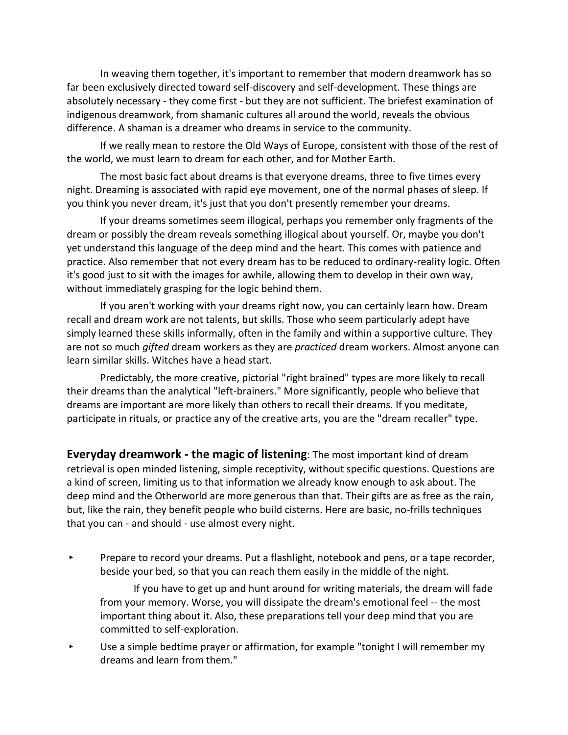In weaving them together, it's important to remember that modern dreamwork has so far been exclusively directed toward self-discovery and self-development. These things are absolutely necessary - they come first - but they are not sufficient. The briefest examination of indigenous dreamwork, from shamanic cultures all around the world, reveals the obvious difference. A shaman is a dreamer who dreams in service to the community.

If we really mean to restore the Old Ways of Europe, consistent with those of the rest of the world, we must learn to dream for each other, and for Mother Earth.

The most basic fact about dreams is that everyone dreams, three to five times every night. Dreaming is associated with rapid eye movement, one of the normal phases of sleep. If you think you never dream, it's just that you don't presently remember your dreams.

If your dreams sometimes seem illogical, perhaps you remember only fragments of the dream or possibly the dream reveals something illogical about yourself. Or, maybe you don't yet understand this language of the deep mind and the heart. This comes with patience and practice. Also remember that not every dream has to be reduced to ordinary-reality logic. Often it's good just to sit with the images for awhile, allowing them to develop in their own way, without immediately grasping for the logic behind them.

If you aren't working with your dreams right now, you can certainly learn how. Dream recall and dream work are not talents, but skills. Those who seem particularly adept have simply learned these skills informally, often in the family and within a supportive culture. They are not so much *gifted* dream workers as they are *practiced* dream workers. Almost anyone can learn similar skills. Witches have a head start.

Predictably, the more creative, pictorial "right brained" types are more likely to recall their dreams than the analytical "left-brainers." More significantly, people who believe that dreams are important are more likely than others to recall their dreams. If you meditate, participate in rituals, or practice any of the creative arts, you are the "dream recaller" type.

**Everyday dreamwork - the magic of listening**: The most important kind of dream retrieval is open minded listening, simple receptivity, without specific questions. Questions are a kind of screen, limiting us to that information we already know enough to ask about. The deep mind and the Otherworld are more generous than that. Their gifts are as free as the rain, but, like the rain, they benefit people who build cisterns. Here are basic, no-frills techniques that you can - and should - use almost every night.

▸ Prepare to record your dreams. Put a flashlight, notebook and pens, or a tape recorder, beside your bed, so that you can reach them easily in the middle of the night.

If you have to get up and hunt around for writing materials, the dream will fade from your memory. Worse, you will dissipate the dream's emotional feel -- the most important thing about it. Also, these preparations tell your deep mind that you are committed to self-exploration.

▸ Use a simple bedtime prayer or affirmation, for example "tonight I will remember my dreams and learn from them."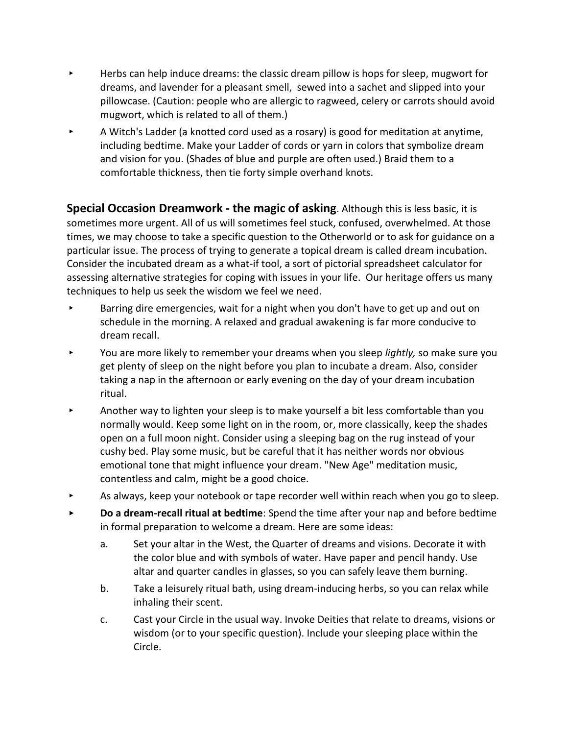- ▸ Herbs can help induce dreams: the classic dream pillow is hops for sleep, mugwort for dreams, and lavender for a pleasant smell, sewed into a sachet and slipped into your pillowcase. (Caution: people who are allergic to ragweed, celery or carrots should avoid mugwort, which is related to all of them.)
- ▸ A Witch's Ladder (a knotted cord used as a rosary) is good for meditation at anytime, including bedtime. Make your Ladder of cords or yarn in colors that symbolize dream and vision for you. (Shades of blue and purple are often used.) Braid them to a comfortable thickness, then tie forty simple overhand knots.

**Special Occasion Dreamwork - the magic of asking**. Although this is less basic, it is sometimes more urgent. All of us will sometimes feel stuck, confused, overwhelmed. At those times, we may choose to take a specific question to the Otherworld or to ask for guidance on a particular issue. The process of trying to generate a topical dream is called dream incubation. Consider the incubated dream as a what-if tool, a sort of pictorial spreadsheet calculator for assessing alternative strategies for coping with issues in your life. Our heritage offers us many techniques to help us seek the wisdom we feel we need.

- Barring dire emergencies, wait for a night when you don't have to get up and out on schedule in the morning. A relaxed and gradual awakening is far more conducive to dream recall.
- ▸ You are more likely to remember your dreams when you sleep *lightly,* so make sure you get plenty of sleep on the night before you plan to incubate a dream. Also, consider taking a nap in the afternoon or early evening on the day of your dream incubation ritual.
- ▸ Another way to lighten your sleep is to make yourself a bit less comfortable than you normally would. Keep some light on in the room, or, more classically, keep the shades open on a full moon night. Consider using a sleeping bag on the rug instead of your cushy bed. Play some music, but be careful that it has neither words nor obvious emotional tone that might influence your dream. "New Age" meditation music, contentless and calm, might be a good choice.
- ▸ As always, keep your notebook or tape recorder well within reach when you go to sleep.
- ▸ **Do a dream-recall ritual at bedtime**: Spend the time after your nap and before bedtime in formal preparation to welcome a dream. Here are some ideas:
	- a. Set your altar in the West, the Quarter of dreams and visions. Decorate it with the color blue and with symbols of water. Have paper and pencil handy. Use altar and quarter candles in glasses, so you can safely leave them burning.
	- b. Take a leisurely ritual bath, using dream-inducing herbs, so you can relax while inhaling their scent.
	- c. Cast your Circle in the usual way. Invoke Deities that relate to dreams, visions or wisdom (or to your specific question). Include your sleeping place within the Circle.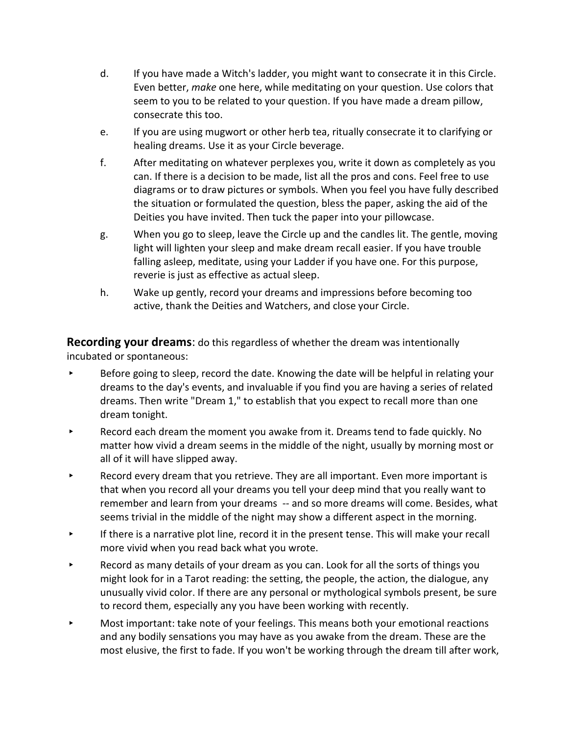- d. If you have made a Witch's ladder, you might want to consecrate it in this Circle. Even better, *make* one here, while meditating on your question. Use colors that seem to you to be related to your question. If you have made a dream pillow, consecrate this too.
- e. If you are using mugwort or other herb tea, ritually consecrate it to clarifying or healing dreams. Use it as your Circle beverage.
- f. After meditating on whatever perplexes you, write it down as completely as you can. If there is a decision to be made, list all the pros and cons. Feel free to use diagrams or to draw pictures or symbols. When you feel you have fully described the situation or formulated the question, bless the paper, asking the aid of the Deities you have invited. Then tuck the paper into your pillowcase.
- g. When you go to sleep, leave the Circle up and the candles lit. The gentle, moving light will lighten your sleep and make dream recall easier. If you have trouble falling asleep, meditate, using your Ladder if you have one. For this purpose, reverie is just as effective as actual sleep.
- h. Wake up gently, record your dreams and impressions before becoming too active, thank the Deities and Watchers, and close your Circle.

**Recording your dreams**: do this regardless of whether the dream was intentionally incubated or spontaneous:

- ▸ Before going to sleep, record the date. Knowing the date will be helpful in relating your dreams to the day's events, and invaluable if you find you are having a series of related dreams. Then write "Dream 1," to establish that you expect to recall more than one dream tonight.
- ▸ Record each dream the moment you awake from it. Dreams tend to fade quickly. No matter how vivid a dream seems in the middle of the night, usually by morning most or all of it will have slipped away.
- ▸ Record every dream that you retrieve. They are all important. Even more important is that when you record all your dreams you tell your deep mind that you really want to remember and learn from your dreams -- and so more dreams will come. Besides, what seems trivial in the middle of the night may show a different aspect in the morning.
- If there is a narrative plot line, record it in the present tense. This will make your recall more vivid when you read back what you wrote.
- ▸ Record as many details of your dream as you can. Look for all the sorts of things you might look for in a Tarot reading: the setting, the people, the action, the dialogue, any unusually vivid color. If there are any personal or mythological symbols present, be sure to record them, especially any you have been working with recently.
- ▸ Most important: take note of your feelings. This means both your emotional reactions and any bodily sensations you may have as you awake from the dream. These are the most elusive, the first to fade. If you won't be working through the dream till after work,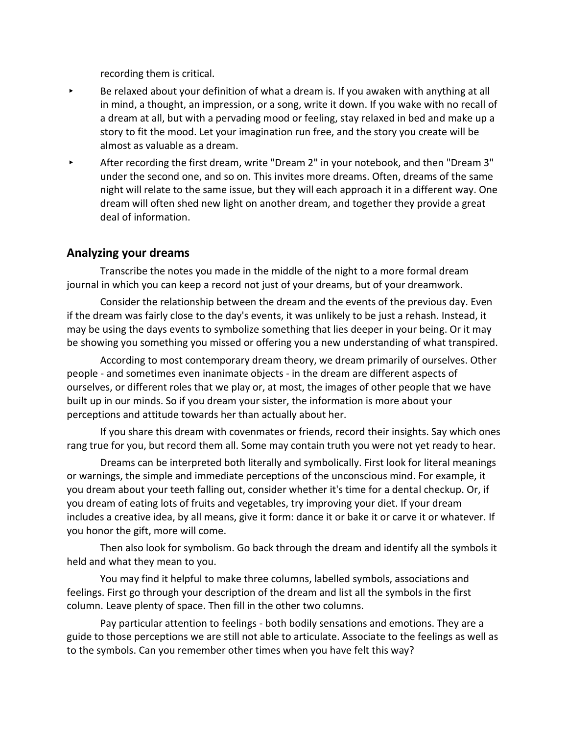recording them is critical.

- Be relaxed about your definition of what a dream is. If you awaken with anything at all in mind, a thought, an impression, or a song, write it down. If you wake with no recall of a dream at all, but with a pervading mood or feeling, stay relaxed in bed and make up a story to fit the mood. Let your imagination run free, and the story you create will be almost as valuable as a dream.
- ▸ After recording the first dream, write "Dream 2" in your notebook, and then "Dream 3" under the second one, and so on. This invites more dreams. Often, dreams of the same night will relate to the same issue, but they will each approach it in a different way. One dream will often shed new light on another dream, and together they provide a great deal of information.

# **Analyzing your dreams**

Transcribe the notes you made in the middle of the night to a more formal dream journal in which you can keep a record not just of your dreams, but of your dreamwork.

Consider the relationship between the dream and the events of the previous day. Even if the dream was fairly close to the day's events, it was unlikely to be just a rehash. Instead, it may be using the days events to symbolize something that lies deeper in your being. Or it may be showing you something you missed or offering you a new understanding of what transpired.

According to most contemporary dream theory, we dream primarily of ourselves. Other people - and sometimes even inanimate objects - in the dream are different aspects of ourselves, or different roles that we play or, at most, the images of other people that we have built up in our minds. So if you dream your sister, the information is more about your perceptions and attitude towards her than actually about her.

If you share this dream with covenmates or friends, record their insights. Say which ones rang true for you, but record them all. Some may contain truth you were not yet ready to hear.

Dreams can be interpreted both literally and symbolically. First look for literal meanings or warnings, the simple and immediate perceptions of the unconscious mind. For example, it you dream about your teeth falling out, consider whether it's time for a dental checkup. Or, if you dream of eating lots of fruits and vegetables, try improving your diet. If your dream includes a creative idea, by all means, give it form: dance it or bake it or carve it or whatever. If you honor the gift, more will come.

Then also look for symbolism. Go back through the dream and identify all the symbols it held and what they mean to you.

You may find it helpful to make three columns, labelled symbols, associations and feelings. First go through your description of the dream and list all the symbols in the first column. Leave plenty of space. Then fill in the other two columns.

Pay particular attention to feelings - both bodily sensations and emotions. They are a guide to those perceptions we are still not able to articulate. Associate to the feelings as well as to the symbols. Can you remember other times when you have felt this way?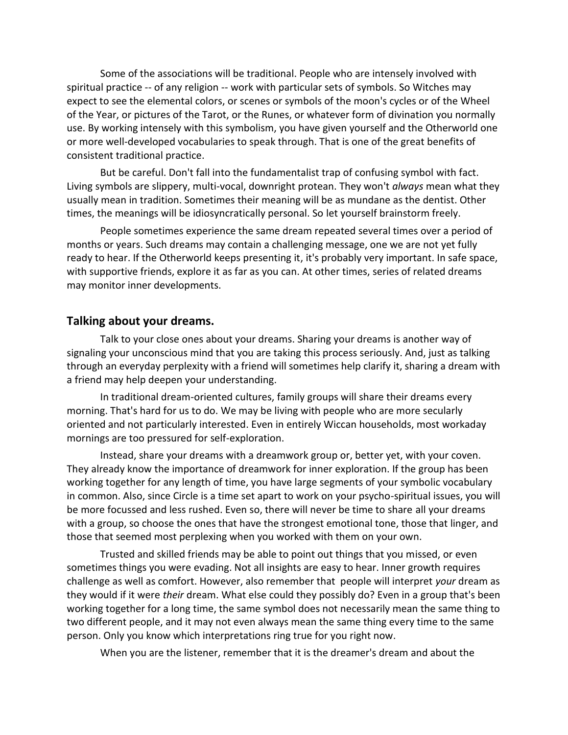Some of the associations will be traditional. People who are intensely involved with spiritual practice -- of any religion -- work with particular sets of symbols. So Witches may expect to see the elemental colors, or scenes or symbols of the moon's cycles or of the Wheel of the Year, or pictures of the Tarot, or the Runes, or whatever form of divination you normally use. By working intensely with this symbolism, you have given yourself and the Otherworld one or more well-developed vocabularies to speak through. That is one of the great benefits of consistent traditional practice.

But be careful. Don't fall into the fundamentalist trap of confusing symbol with fact. Living symbols are slippery, multi-vocal, downright protean. They won't *always* mean what they usually mean in tradition. Sometimes their meaning will be as mundane as the dentist. Other times, the meanings will be idiosyncratically personal. So let yourself brainstorm freely.

People sometimes experience the same dream repeated several times over a period of months or years. Such dreams may contain a challenging message, one we are not yet fully ready to hear. If the Otherworld keeps presenting it, it's probably very important. In safe space, with supportive friends, explore it as far as you can. At other times, series of related dreams may monitor inner developments.

### **Talking about your dreams.**

Talk to your close ones about your dreams. Sharing your dreams is another way of signaling your unconscious mind that you are taking this process seriously. And, just as talking through an everyday perplexity with a friend will sometimes help clarify it, sharing a dream with a friend may help deepen your understanding.

In traditional dream-oriented cultures, family groups will share their dreams every morning. That's hard for us to do. We may be living with people who are more secularly oriented and not particularly interested. Even in entirely Wiccan households, most workaday mornings are too pressured for self-exploration.

Instead, share your dreams with a dreamwork group or, better yet, with your coven. They already know the importance of dreamwork for inner exploration. If the group has been working together for any length of time, you have large segments of your symbolic vocabulary in common. Also, since Circle is a time set apart to work on your psycho-spiritual issues, you will be more focussed and less rushed. Even so, there will never be time to share all your dreams with a group, so choose the ones that have the strongest emotional tone, those that linger, and those that seemed most perplexing when you worked with them on your own.

Trusted and skilled friends may be able to point out things that you missed, or even sometimes things you were evading. Not all insights are easy to hear. Inner growth requires challenge as well as comfort. However, also remember that people will interpret *your* dream as they would if it were *their* dream. What else could they possibly do? Even in a group that's been working together for a long time, the same symbol does not necessarily mean the same thing to two different people, and it may not even always mean the same thing every time to the same person. Only you know which interpretations ring true for you right now.

When you are the listener, remember that it is the dreamer's dream and about the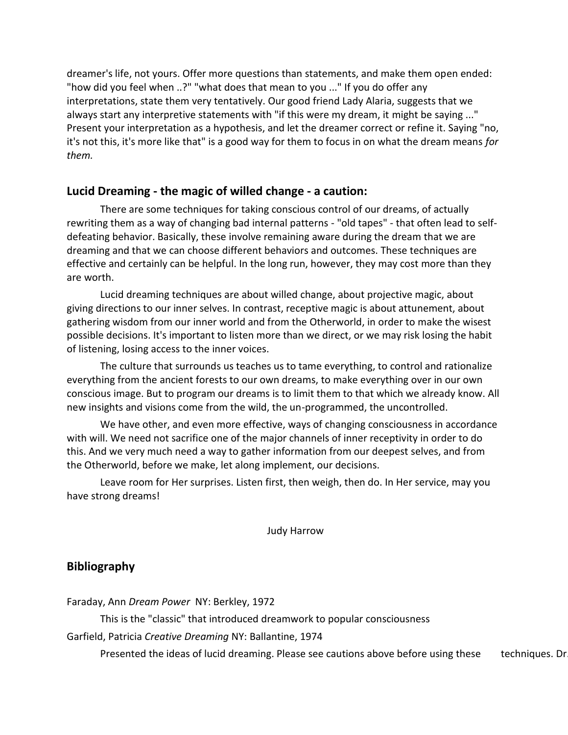dreamer's life, not yours. Offer more questions than statements, and make them open ended: "how did you feel when ..?" "what does that mean to you ..." If you do offer any interpretations, state them very tentatively. Our good friend Lady Alaria, suggests that we always start any interpretive statements with "if this were my dream, it might be saying ..." Present your interpretation as a hypothesis, and let the dreamer correct or refine it. Saying "no, it's not this, it's more like that" is a good way for them to focus in on what the dream means *for them.*

# **Lucid Dreaming - the magic of willed change - a caution:**

There are some techniques for taking conscious control of our dreams, of actually rewriting them as a way of changing bad internal patterns - "old tapes" - that often lead to selfdefeating behavior. Basically, these involve remaining aware during the dream that we are dreaming and that we can choose different behaviors and outcomes. These techniques are effective and certainly can be helpful. In the long run, however, they may cost more than they are worth.

Lucid dreaming techniques are about willed change, about projective magic, about giving directions to our inner selves. In contrast, receptive magic is about attunement, about gathering wisdom from our inner world and from the Otherworld, in order to make the wisest possible decisions. It's important to listen more than we direct, or we may risk losing the habit of listening, losing access to the inner voices.

The culture that surrounds us teaches us to tame everything, to control and rationalize everything from the ancient forests to our own dreams, to make everything over in our own conscious image. But to program our dreams is to limit them to that which we already know. All new insights and visions come from the wild, the un-programmed, the uncontrolled.

We have other, and even more effective, ways of changing consciousness in accordance with will. We need not sacrifice one of the major channels of inner receptivity in order to do this. And we very much need a way to gather information from our deepest selves, and from the Otherworld, before we make, let along implement, our decisions.

Leave room for Her surprises. Listen first, then weigh, then do. In Her service, may you have strong dreams!

Judy Harrow

### **Bibliography**

Faraday, Ann *Dream Power* NY: Berkley, 1972

This is the "classic" that introduced dreamwork to popular consciousness

Garfield, Patricia *Creative Dreaming* NY: Ballantine, 1974

Presented the ideas of lucid dreaming. Please see cautions above before using these techniques. Dr.